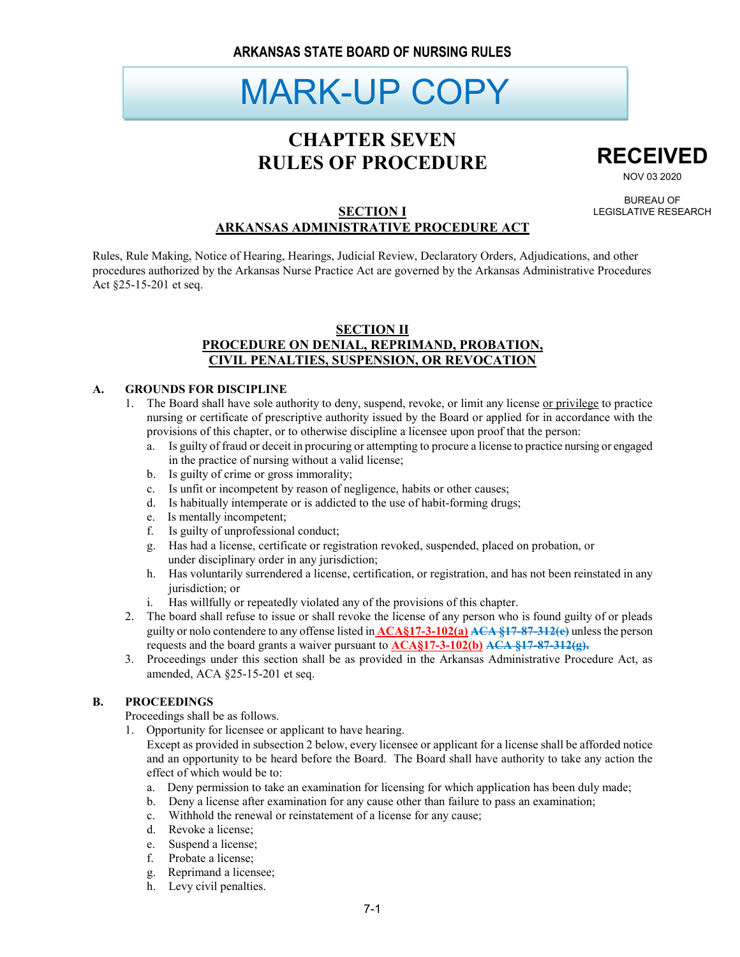# MARK-UP COPY

# **CHAPTER SEVEN RULES OF PROCEDURE**



NOV 03 2020

BUREAU OF LEGISLATIVE RESEARCH

### **SECTION I ARKANSAS ADMINISTRATIVE PROCEDURE ACT**

Rules, Rule Making, Notice of Hearing, Hearings, Judicial Review, Declaratory Orders, Adjudications, and other procedures authorized by the Arkansas Nurse Practice Act are governed by the Arkansas Administrative Procedures Act §25-15-201 et seq.

### **SECTION II PROCEDURE ON DENIAL, REPRIMAND, PROBATION, CIVIL PENALTIES, SUSPENSION, OR REVOCATION**

#### **A. GROUNDS FOR DISCIPLINE**

- 1. The Board shall have sole authority to deny, suspend, revoke, or limit any license or privilege to practice nursing or certificate of prescriptive authority issued by the Board or applied for in accordance with the provisions of this chapter, or to otherwise discipline a licensee upon proof that the person:
	- a. Is guilty of fraud or deceit in procuring or attempting to procure a license to practice nursing or engaged in the practice of nursing without a valid license;
	- b. Is guilty of crime or gross immorality;
	- c. Is unfit or incompetent by reason of negligence, habits or other causes;
	- d. Is habitually intemperate or is addicted to the use of habit-forming drugs;
	- e. Is mentally incompetent;
	- f. Is guilty of unprofessional conduct;
	- g. Has had a license, certificate or registration revoked, suspended, placed on probation, or under disciplinary order in any jurisdiction;
	- h. Has voluntarily surrendered a license, certification, or registration, and has not been reinstated in any jurisdiction; or
	- Has willfully or repeatedly violated any of the provisions of this chapter.
- 2. The board shall refuse to issue or shall revoke the license of any person who is found guilty of or pleads guilty or nolo contendere to any offense listed in **ACA§17-3-102(a) ACA §17-87-312(e)** unless the person requests and the board grants a waiver pursuant to **ACA§17-3-102(b) ACA §17-87-312(g).**
- 3. Proceedings under this section shall be as provided in the Arkansas Administrative Procedure Act, as amended, ACA §25-15-201 et seq.

#### **B. PROCEEDINGS**

Proceedings shall be as follows.

1. Opportunity for licensee or applicant to have hearing.

Except as provided in subsection 2 below, every licensee or applicant for a license shall be afforded notice and an opportunity to be heard before the Board. The Board shall have authority to take any action the effect of which would be to:

- a. Deny permission to take an examination for licensing for which application has been duly made;
- b. Deny a license after examination for any cause other than failure to pass an examination;
- c. Withhold the renewal or reinstatement of a license for any cause;
- d. Revoke a license;
- e. Suspend a license;
- f. Probate a license;
- g. Reprimand a licensee;
- h. Levy civil penalties.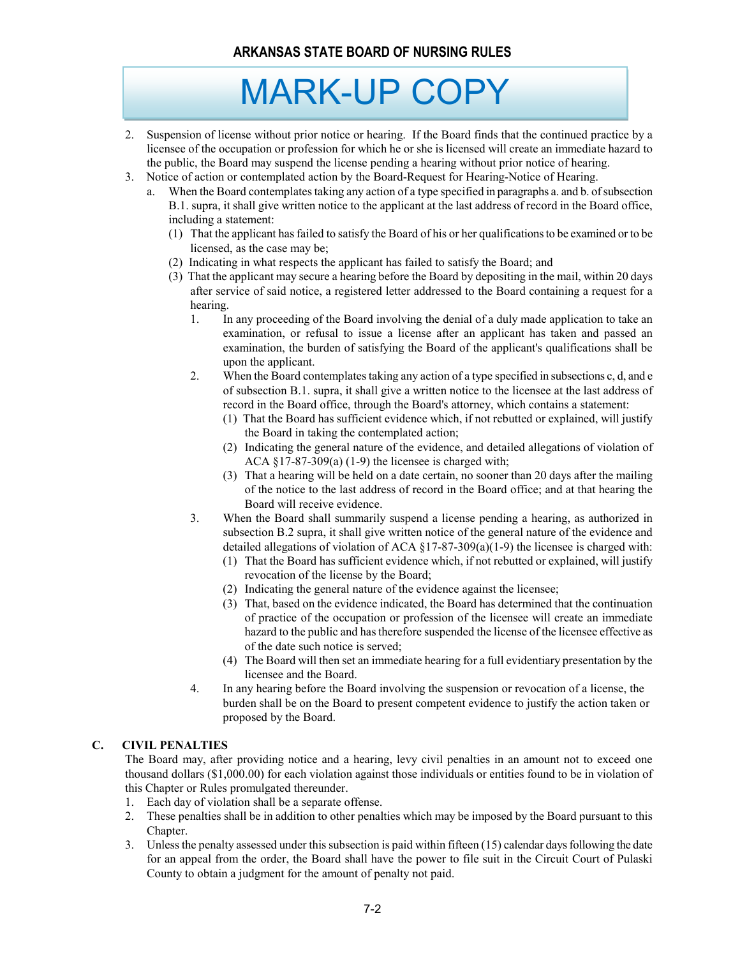# MARK-UP COPY

- 2. Suspension of license without prior notice or hearing. If the Board finds that the continued practice by a licensee of the occupation or profession for which he or she is licensed will create an immediate hazard to the public, the Board may suspend the license pending a hearing without prior notice of hearing.
- 3. Notice of action or contemplated action by the Board-Request for Hearing-Notice of Hearing.
	- a. When the Board contemplates taking any action of a type specified in paragraphs a. and b. of subsection B.1. supra, it shall give written notice to the applicant at the last address of record in the Board office, including a statement:
		- (1) That the applicant has failed to satisfy the Board of his or her qualifications to be examined or to be licensed, as the case may be;
		- (2) Indicating in what respects the applicant has failed to satisfy the Board; and
		- (3) That the applicant may secure a hearing before the Board by depositing in the mail, within 20 days after service of said notice, a registered letter addressed to the Board containing a request for a hearing.
			- 1. In any proceeding of the Board involving the denial of a duly made application to take an examination, or refusal to issue a license after an applicant has taken and passed an examination, the burden of satisfying the Board of the applicant's qualifications shall be upon the applicant.
			- 2. When the Board contemplates taking any action of a type specified in subsections c, d, and e of subsection B.1. supra, it shall give a written notice to the licensee at the last address of record in the Board office, through the Board's attorney, which contains a statement:
				- (1) That the Board has sufficient evidence which, if not rebutted or explained, will justify the Board in taking the contemplated action;
				- (2) Indicating the general nature of the evidence, and detailed allegations of violation of ACA  $\S$ 17-87-309(a) (1-9) the licensee is charged with;
				- (3) That a hearing will be held on a date certain, no sooner than 20 days after the mailing of the notice to the last address of record in the Board office; and at that hearing the Board will receive evidence.
			- 3. When the Board shall summarily suspend a license pending a hearing, as authorized in subsection B.2 supra, it shall give written notice of the general nature of the evidence and detailed allegations of violation of ACA  $\S17-87-309(a)(1-9)$  the licensee is charged with:
				- (1) That the Board has sufficient evidence which, if not rebutted or explained, will justify revocation of the license by the Board;
				- (2) Indicating the general nature of the evidence against the licensee;
				- (3) That, based on the evidence indicated, the Board has determined that the continuation of practice of the occupation or profession of the licensee will create an immediate hazard to the public and has therefore suspended the license of the licensee effective as of the date such notice is served;
				- (4) The Board will then set an immediate hearing for a full evidentiary presentation by the licensee and the Board.
			- 4. In any hearing before the Board involving the suspension or revocation of a license, the burden shall be on the Board to present competent evidence to justify the action taken or proposed by the Board.

#### **C. CIVIL PENALTIES**

The Board may, after providing notice and a hearing, levy civil penalties in an amount not to exceed one thousand dollars (\$1,000.00) for each violation against those individuals or entities found to be in violation of this Chapter or Rules promulgated thereunder.

- 1. Each day of violation shall be a separate offense.
- 2. These penalties shall be in addition to other penalties which may be imposed by the Board pursuant to this Chapter.
- 3. Unless the penalty assessed under this subsection is paid within fifteen (15) calendar days following the date for an appeal from the order, the Board shall have the power to file suit in the Circuit Court of Pulaski County to obtain a judgment for the amount of penalty not paid.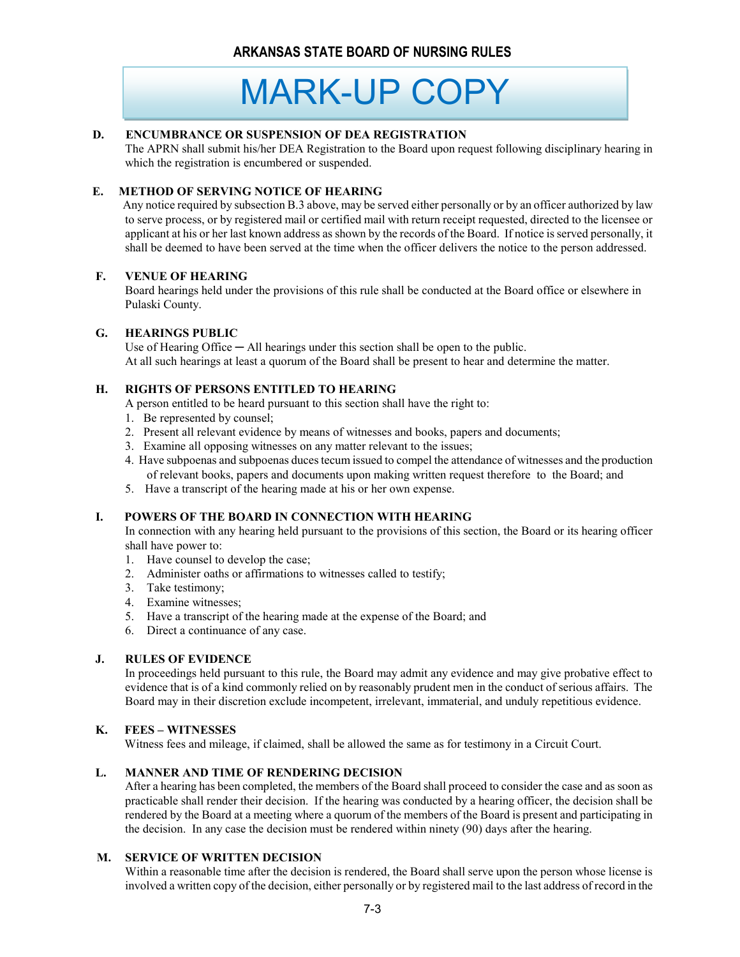# MARK-UP COPY

#### **D. ENCUMBRANCE OR SUSPENSION OF DEA REGISTRATION**

The APRN shall submit his/her DEA Registration to the Board upon request following disciplinary hearing in which the registration is encumbered or suspended.

#### **E. METHOD OF SERVING NOTICE OF HEARING**

 Any notice required by subsection B.3 above, may be served either personally or by an officer authorized by law to serve process, or by registered mail or certified mail with return receipt requested, directed to the licensee or applicant at his or her last known address as shown by the records of the Board. If notice is served personally, it shall be deemed to have been served at the time when the officer delivers the notice to the person addressed.

#### **F. VENUE OF HEARING**

Board hearings held under the provisions of this rule shall be conducted at the Board office or elsewhere in Pulaski County.

#### **G. HEARINGS PUBLIC**

Use of Hearing Office  $-$  All hearings under this section shall be open to the public. At all such hearings at least a quorum of the Board shall be present to hear and determine the matter.

#### **H. RIGHTS OF PERSONS ENTITLED TO HEARING**

A person entitled to be heard pursuant to this section shall have the right to:

- 1. Be represented by counsel;
- 2. Present all relevant evidence by means of witnesses and books, papers and documents;
- 3. Examine all opposing witnesses on any matter relevant to the issues;
- 4. Have subpoenas and subpoenas duces tecum issued to compel the attendance of witnesses and the production of relevant books, papers and documents upon making written request therefore to the Board; and
- 5. Have a transcript of the hearing made at his or her own expense.

#### **I. POWERS OF THE BOARD IN CONNECTION WITH HEARING**

In connection with any hearing held pursuant to the provisions of this section, the Board or its hearing officer shall have power to:

- 1. Have counsel to develop the case;
- 2. Administer oaths or affirmations to witnesses called to testify;
- 3. Take testimony;
- 4. Examine witnesses;
- 5. Have a transcript of the hearing made at the expense of the Board; and
- 6. Direct a continuance of any case.

#### **J. RULES OF EVIDENCE**

In proceedings held pursuant to this rule, the Board may admit any evidence and may give probative effect to evidence that is of a kind commonly relied on by reasonably prudent men in the conduct of serious affairs. The Board may in their discretion exclude incompetent, irrelevant, immaterial, and unduly repetitious evidence.

#### **K. FEES – WITNESSES**

Witness fees and mileage, if claimed, shall be allowed the same as for testimony in a Circuit Court.

#### **L. MANNER AND TIME OF RENDERING DECISION**

After a hearing has been completed, the members of the Board shall proceed to consider the case and as soon as practicable shall render their decision. If the hearing was conducted by a hearing officer, the decision shall be rendered by the Board at a meeting where a quorum of the members of the Board is present and participating in the decision. In any case the decision must be rendered within ninety (90) days after the hearing.

#### **M. SERVICE OF WRITTEN DECISION**

Within a reasonable time after the decision is rendered, the Board shall serve upon the person whose license is involved a written copy of the decision, either personally or by registered mail to the last address of record in the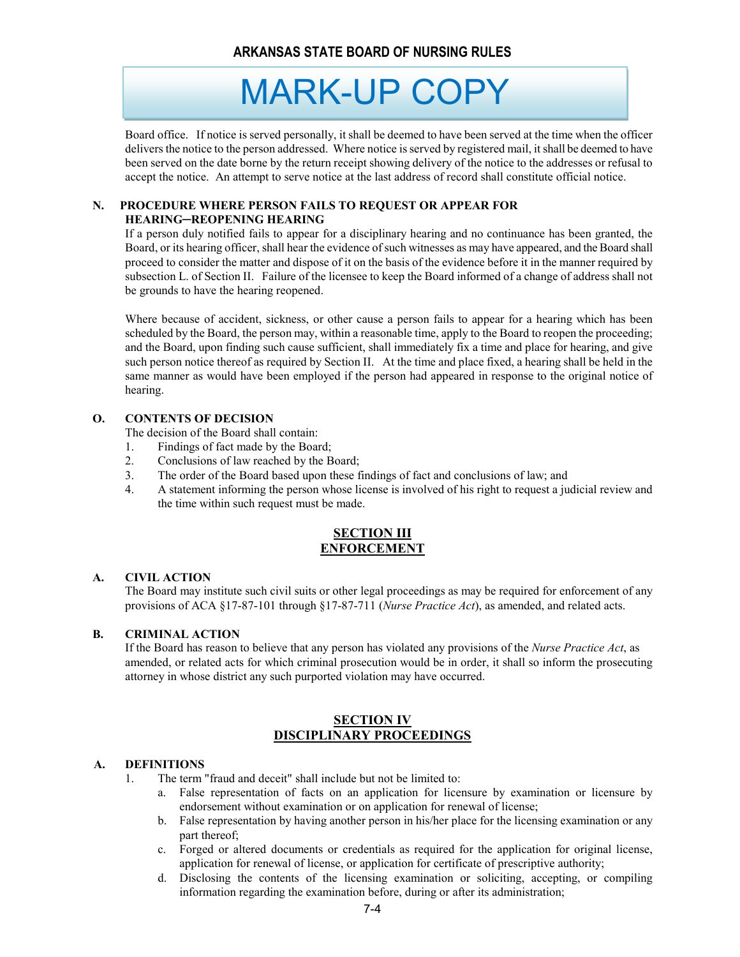MARK-UP COPY

Board office. If notice is served personally, it shall be deemed to have been served at the time when the officer delivers the notice to the person addressed. Where notice is served by registered mail, it shall be deemed to have been served on the date borne by the return receipt showing delivery of the notice to the addresses or refusal to accept the notice. An attempt to serve notice at the last address of record shall constitute official notice.

#### **N. PROCEDURE WHERE PERSON FAILS TO REQUEST OR APPEAR FOR HEARING─REOPENING HEARING**

If a person duly notified fails to appear for a disciplinary hearing and no continuance has been granted, the Board, or its hearing officer, shall hear the evidence of such witnesses as may have appeared, and the Board shall proceed to consider the matter and dispose of it on the basis of the evidence before it in the manner required by subsection L. of Section II. Failure of the licensee to keep the Board informed of a change of address shall not be grounds to have the hearing reopened.

Where because of accident, sickness, or other cause a person fails to appear for a hearing which has been scheduled by the Board, the person may, within a reasonable time, apply to the Board to reopen the proceeding; and the Board, upon finding such cause sufficient, shall immediately fix a time and place for hearing, and give such person notice thereof as required by Section II. At the time and place fixed, a hearing shall be held in the same manner as would have been employed if the person had appeared in response to the original notice of hearing.

#### **O. CONTENTS OF DECISION**

The decision of the Board shall contain:

- 1. Findings of fact made by the Board;
- 2. Conclusions of law reached by the Board;
- 3. The order of the Board based upon these findings of fact and conclusions of law; and
- 4. A statement informing the person whose license is involved of his right to request a judicial review and the time within such request must be made.

#### **SECTION III ENFORCEMENT**

#### **A. CIVIL ACTION**

The Board may institute such civil suits or other legal proceedings as may be required for enforcement of any provisions of ACA §17-87-101 through §17-87-711 (*Nurse Practice Act*), as amended, and related acts.

#### **B. CRIMINAL ACTION**

 If the Board has reason to believe that any person has violated any provisions of the *Nurse Practice Act*, as amended, or related acts for which criminal prosecution would be in order, it shall so inform the prosecuting attorney in whose district any such purported violation may have occurred.

#### **SECTION IV DISCIPLINARY PROCEEDINGS**

#### **A. DEFINITIONS**

The term "fraud and deceit" shall include but not be limited to:

- a. False representation of facts on an application for licensure by examination or licensure by endorsement without examination or on application for renewal of license;
- b. False representation by having another person in his/her place for the licensing examination or any part thereof;
- c. Forged or altered documents or credentials as required for the application for original license, application for renewal of license, or application for certificate of prescriptive authority;
- d. Disclosing the contents of the licensing examination or soliciting, accepting, or compiling information regarding the examination before, during or after its administration;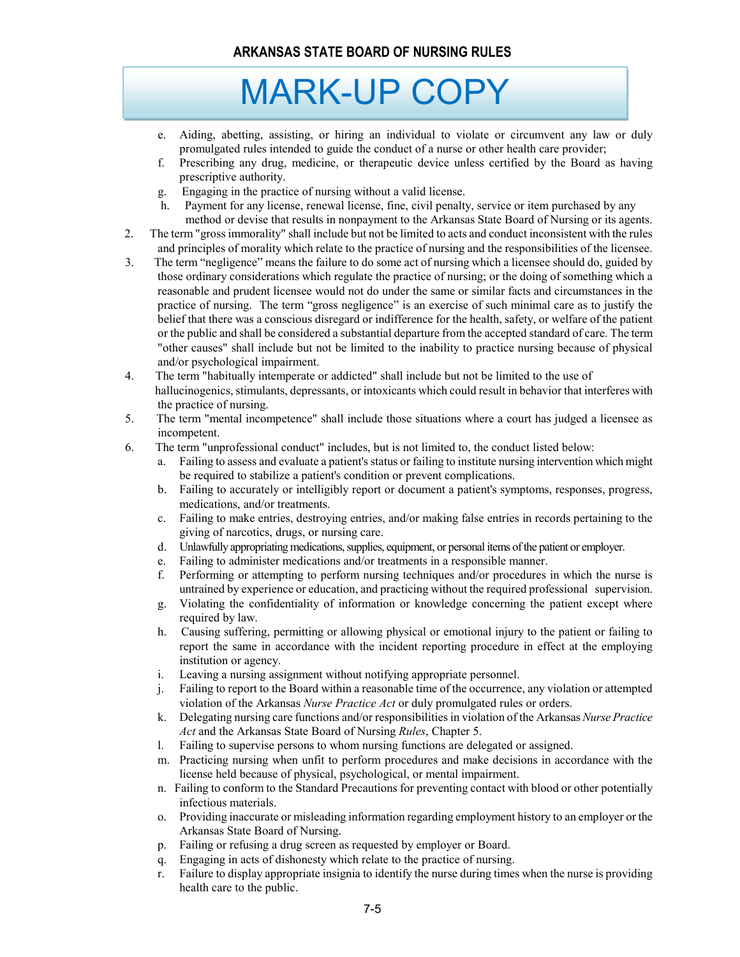# MARK-UP COPY

- e. Aiding, abetting, assisting, or hiring an individual to violate or circumvent any law or duly promulgated rules intended to guide the conduct of a nurse or other health care provider;
- f. Prescribing any drug, medicine, or therapeutic device unless certified by the Board as having prescriptive authority.
- g. Engaging in the practice of nursing without a valid license.
- h. Payment for any license, renewal license, fine, civil penalty, service or item purchased by any method or devise that results in nonpayment to the Arkansas State Board of Nursing or its agents.
- 2. The term "gross immorality" shall include but not be limited to acts and conduct inconsistent with the rules and principles of morality which relate to the practice of nursing and the responsibilities of the licensee.
- 3. The term "negligence" means the failure to do some act of nursing which a licensee should do, guided by those ordinary considerations which regulate the practice of nursing; or the doing of something which a reasonable and prudent licensee would not do under the same or similar facts and circumstances in the practice of nursing. The term "gross negligence" is an exercise of such minimal care as to justify the belief that there was a conscious disregard or indifference for the health, safety, or welfare of the patient or the public and shall be considered a substantial departure from the accepted standard of care. The term "other causes" shall include but not be limited to the inability to practice nursing because of physical and/or psychological impairment.
- 4. The term "habitually intemperate or addicted" shall include but not be limited to the use of hallucinogenics, stimulants, depressants, or intoxicants which could result in behavior that interferes with the practice of nursing.
- 5. The term "mental incompetence" shall include those situations where a court has judged a licensee as incompetent.
- 6. The term "unprofessional conduct" includes, but is not limited to, the conduct listed below:
	- a. Failing to assess and evaluate a patient's status or failing to institute nursing intervention which might be required to stabilize a patient's condition or prevent complications.
	- b. Failing to accurately or intelligibly report or document a patient's symptoms, responses, progress, medications, and/or treatments.
	- c. Failing to make entries, destroying entries, and/or making false entries in records pertaining to the giving of narcotics, drugs, or nursing care.
	- d. Unlawfully appropriating medications, supplies, equipment, or personal items of the patient or employer.
	- Failing to administer medications and/or treatments in a responsible manner.
	- f. Performing or attempting to perform nursing techniques and/or procedures in which the nurse is untrained by experience or education, and practicing without the required professional supervision.
	- g. Violating the confidentiality of information or knowledge concerning the patient except where required by law.
	- h. Causing suffering, permitting or allowing physical or emotional injury to the patient or failing to report the same in accordance with the incident reporting procedure in effect at the employing institution or agency.
	- i. Leaving a nursing assignment without notifying appropriate personnel.
	- j. Failing to report to the Board within a reasonable time of the occurrence, any violation or attempted violation of the Arkansas *Nurse Practice Act* or duly promulgated rules or orders.
	- k. Delegating nursing care functions and/or responsibilities in violation of the Arkansas *Nurse Practice Act* and the Arkansas State Board of Nursing *Rules*, Chapter 5.
	- l. Failing to supervise persons to whom nursing functions are delegated or assigned.
	- m. Practicing nursing when unfit to perform procedures and make decisions in accordance with the license held because of physical, psychological, or mental impairment.
	- n. Failing to conform to the Standard Precautions for preventing contact with blood or other potentially infectious materials.
	- o. Providing inaccurate or misleading information regarding employment history to an employer or the Arkansas State Board of Nursing.
	- p. Failing or refusing a drug screen as requested by employer or Board.
	- q. Engaging in acts of dishonesty which relate to the practice of nursing.
	- r. Failure to display appropriate insignia to identify the nurse during times when the nurse is providing health care to the public.